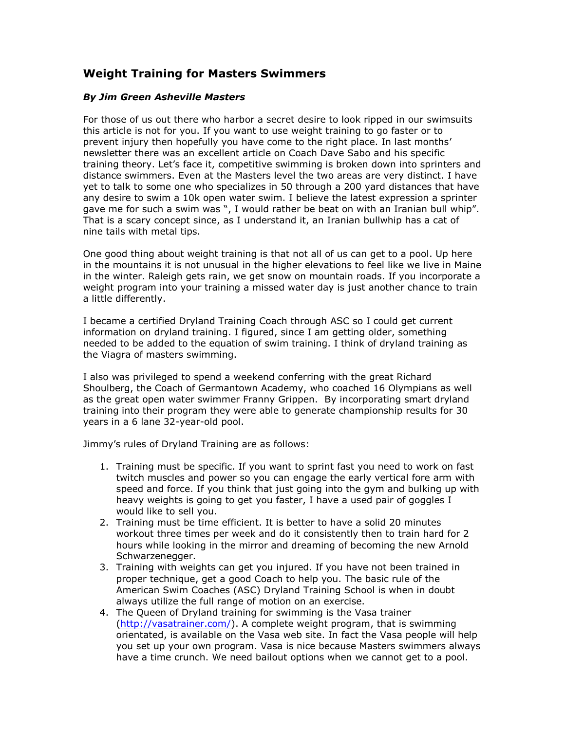## **Weight Training for Masters Swimmers**

## *By Jim Green Asheville Masters*

For those of us out there who harbor a secret desire to look ripped in our swimsuits this article is not for you. If you want to use weight training to go faster or to prevent injury then hopefully you have come to the right place. In last months' newsletter there was an excellent article on Coach Dave Sabo and his specific training theory. Let's face it, competitive swimming is broken down into sprinters and distance swimmers. Even at the Masters level the two areas are very distinct. I have yet to talk to some one who specializes in 50 through a 200 yard distances that have any desire to swim a 10k open water swim. I believe the latest expression a sprinter gave me for such a swim was ", I would rather be beat on with an Iranian bull whip". That is a scary concept since, as I understand it, an Iranian bullwhip has a cat of nine tails with metal tips.

One good thing about weight training is that not all of us can get to a pool. Up here in the mountains it is not unusual in the higher elevations to feel like we live in Maine in the winter. Raleigh gets rain, we get snow on mountain roads. If you incorporate a weight program into your training a missed water day is just another chance to train a little differently.

I became a certified Dryland Training Coach through ASC so I could get current information on dryland training. I figured, since I am getting older, something needed to be added to the equation of swim training. I think of dryland training as the Viagra of masters swimming.

I also was privileged to spend a weekend conferring with the great Richard Shoulberg, the Coach of Germantown Academy, who coached 16 Olympians as well as the great open water swimmer Franny Grippen. By incorporating smart dryland training into their program they were able to generate championship results for 30 years in a 6 lane 32-year-old pool.

Jimmy's rules of Dryland Training are as follows:

- 1. Training must be specific. If you want to sprint fast you need to work on fast twitch muscles and power so you can engage the early vertical fore arm with speed and force. If you think that just going into the gym and bulking up with heavy weights is going to get you faster, I have a used pair of goggles I would like to sell you.
- 2. Training must be time efficient. It is better to have a solid 20 minutes workout three times per week and do it consistently then to train hard for 2 hours while looking in the mirror and dreaming of becoming the new Arnold Schwarzenegger.
- 3. Training with weights can get you injured. If you have not been trained in proper technique, get a good Coach to help you. The basic rule of the American Swim Coaches (ASC) Dryland Training School is when in doubt always utilize the full range of motion on an exercise.
- 4. The Queen of Dryland training for swimming is the Vasa trainer [\(http://vasatrainer.com/\)](http://vasatrainer.com/). A complete weight program, that is swimming orientated, is available on the Vasa web site. In fact the Vasa people will help you set up your own program. Vasa is nice because Masters swimmers always have a time crunch. We need bailout options when we cannot get to a pool.